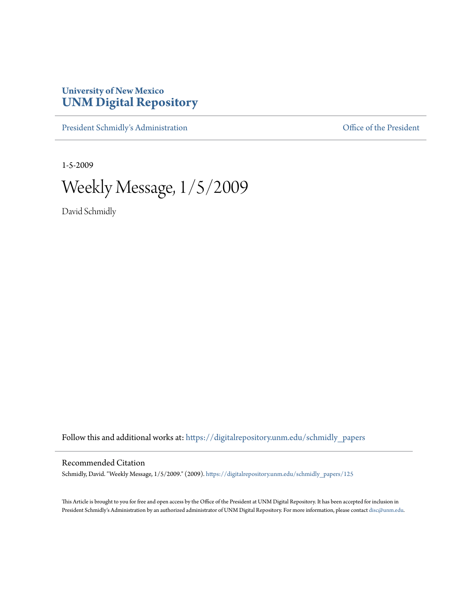## **University of New Mexico [UNM Digital Repository](https://digitalrepository.unm.edu?utm_source=digitalrepository.unm.edu%2Fschmidly_papers%2F125&utm_medium=PDF&utm_campaign=PDFCoverPages)**

[President Schmidly's Administration](https://digitalrepository.unm.edu/schmidly_papers?utm_source=digitalrepository.unm.edu%2Fschmidly_papers%2F125&utm_medium=PDF&utm_campaign=PDFCoverPages) [Office of the President](https://digitalrepository.unm.edu/ofc_president?utm_source=digitalrepository.unm.edu%2Fschmidly_papers%2F125&utm_medium=PDF&utm_campaign=PDFCoverPages)

1-5-2009

Weekly Message, 1/5/2009

David Schmidly

Follow this and additional works at: [https://digitalrepository.unm.edu/schmidly\\_papers](https://digitalrepository.unm.edu/schmidly_papers?utm_source=digitalrepository.unm.edu%2Fschmidly_papers%2F125&utm_medium=PDF&utm_campaign=PDFCoverPages)

## Recommended Citation

Schmidly, David. "Weekly Message, 1/5/2009." (2009). [https://digitalrepository.unm.edu/schmidly\\_papers/125](https://digitalrepository.unm.edu/schmidly_papers/125?utm_source=digitalrepository.unm.edu%2Fschmidly_papers%2F125&utm_medium=PDF&utm_campaign=PDFCoverPages)

This Article is brought to you for free and open access by the Office of the President at UNM Digital Repository. It has been accepted for inclusion in President Schmidly's Administration by an authorized administrator of UNM Digital Repository. For more information, please contact [disc@unm.edu](mailto:disc@unm.edu).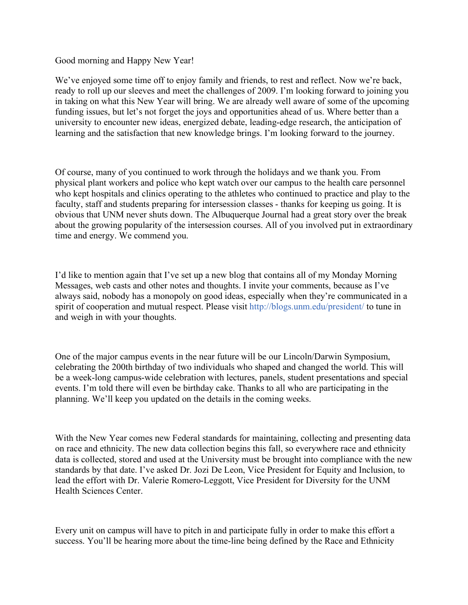## Good morning and Happy New Year!

We've enjoyed some time off to enjoy family and friends, to rest and reflect. Now we're back, ready to roll up our sleeves and meet the challenges of 2009. I'm looking forward to joining you in taking on what this New Year will bring. We are already well aware of some of the upcoming funding issues, but let's not forget the joys and opportunities ahead of us. Where better than a university to encounter new ideas, energized debate, leading-edge research, the anticipation of learning and the satisfaction that new knowledge brings. I'm looking forward to the journey.

Of course, many of you continued to work through the holidays and we thank you. From physical plant workers and police who kept watch over our campus to the health care personnel who kept hospitals and clinics operating to the athletes who continued to practice and play to the faculty, staff and students preparing for intersession classes - thanks for keeping us going. It is obvious that UNM never shuts down. The Albuquerque Journal had a great story over the break about the growing popularity of the intersession courses. All of you involved put in extraordinary time and energy. We commend you.

I'd like to mention again that I've set up a new blog that contains all of my Monday Morning Messages, web casts and other notes and thoughts. I invite your comments, because as I've always said, nobody has a monopoly on good ideas, especially when they're communicated in a spirit of cooperation and mutual respect. Please visit http://blogs.unm.edu/president/ to tune in and weigh in with your thoughts.

One of the major campus events in the near future will be our Lincoln/Darwin Symposium, celebrating the 200th birthday of two individuals who shaped and changed the world. This will be a week-long campus-wide celebration with lectures, panels, student presentations and special events. I'm told there will even be birthday cake. Thanks to all who are participating in the planning. We'll keep you updated on the details in the coming weeks.

With the New Year comes new Federal standards for maintaining, collecting and presenting data on race and ethnicity. The new data collection begins this fall, so everywhere race and ethnicity data is collected, stored and used at the University must be brought into compliance with the new standards by that date. I've asked Dr. Jozi De Leon, Vice President for Equity and Inclusion, to lead the effort with Dr. Valerie Romero-Leggott, Vice President for Diversity for the UNM Health Sciences Center.

Every unit on campus will have to pitch in and participate fully in order to make this effort a success. You'll be hearing more about the time-line being defined by the Race and Ethnicity